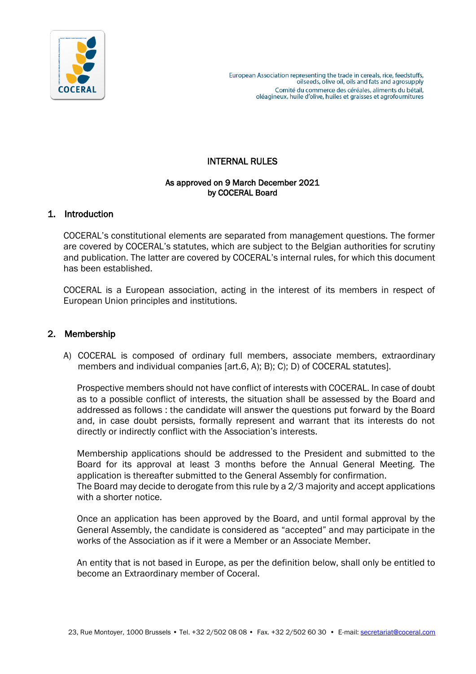

# INTERNAL RULES

#### As approved on 9 March December 2021 by COCERAL Board

## 1. Introduction

COCERAL's constitutional elements are separated from management questions. The former are covered by COCERAL's statutes, which are subject to the Belgian authorities for scrutiny and publication. The latter are covered by COCERAL's internal rules, for which this document has been established.

COCERAL is a European association, acting in the interest of its members in respect of European Union principles and institutions.

### 2. Membership

A) COCERAL is composed of ordinary full members, associate members, extraordinary members and individual companies [art.6, A); B); C); D) of COCERAL statutes].

Prospective members should not have conflict of interests with COCERAL. In case of doubt as to a possible conflict of interests, the situation shall be assessed by the Board and addressed as follows : the candidate will answer the questions put forward by the Board and, in case doubt persists, formally represent and warrant that its interests do not directly or indirectly conflict with the Association's interests.

Membership applications should be addressed to the President and submitted to the Board for its approval at least 3 months before the Annual General Meeting. The application is thereafter submitted to the General Assembly for confirmation. The Board may decide to derogate from this rule by a 2/3 majority and accept applications with a shorter notice.

Once an application has been approved by the Board, and until formal approval by the General Assembly, the candidate is considered as "accepted" and may participate in the works of the Association as if it were a Member or an Associate Member.

An entity that is not based in Europe, as per the definition below, shall only be entitled to become an Extraordinary member of Coceral.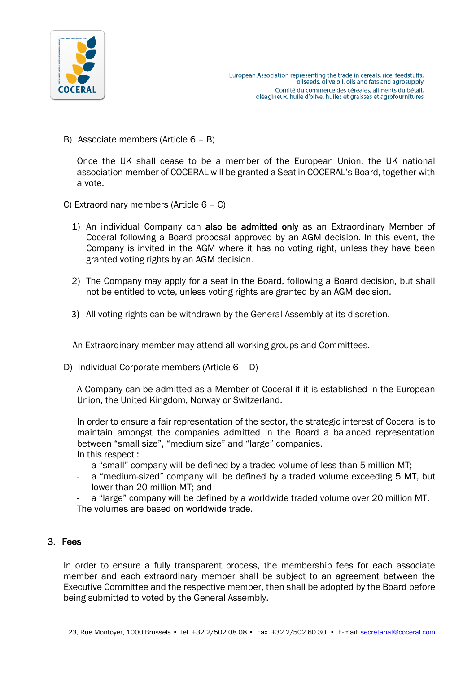

B) Associate members (Article 6 – B)

Once the UK shall cease to be a member of the European Union, the UK national association member of COCERAL will be granted a Seat in COCERAL's Board, together with a vote.

- C) Extraordinary members (Article 6 C)
	- 1) An individual Company can also be admitted only as an Extraordinary Member of Coceral following a Board proposal approved by an AGM decision. In this event, the Company is invited in the AGM where it has no voting right, unless they have been granted voting rights by an AGM decision.
	- 2) The Company may apply for a seat in the Board, following a Board decision, but shall not be entitled to vote, unless voting rights are granted by an AGM decision.
	- 3) All voting rights can be withdrawn by the General Assembly at its discretion.

An Extraordinary member may attend all working groups and Committees.

D) Individual Corporate members (Article 6 – D)

A Company can be admitted as a Member of Coceral if it is established in the European Union, the United Kingdom, Norway or Switzerland.

In order to ensure a fair representation of the sector, the strategic interest of Coceral is to maintain amongst the companies admitted in the Board a balanced representation between "small size", "medium size" and "large" companies. In this respect :

- a "small" company will be defined by a traded volume of less than 5 million MT;
- a "medium-sized" company will be defined by a traded volume exceeding 5 MT, but lower than 20 million MT; and
- a "large" company will be defined by a worldwide traded volume over 20 million MT. The volumes are based on worldwide trade.

#### 3. Fees

In order to ensure a fully transparent process, the membership fees for each associate member and each extraordinary member shall be subject to an agreement between the Executive Committee and the respective member, then shall be adopted by the Board before being submitted to voted by the General Assembly.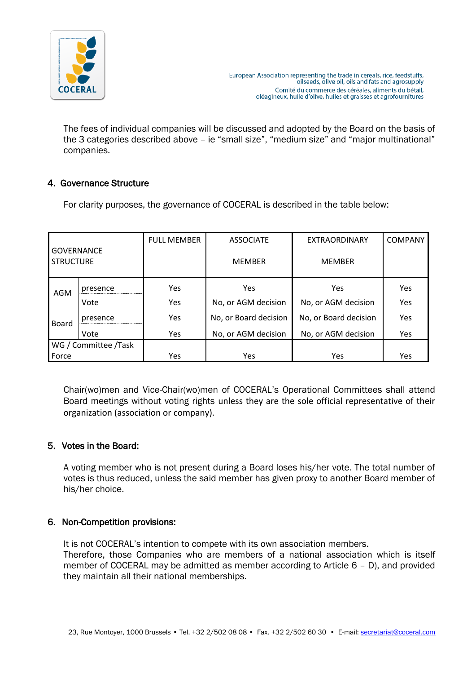

The fees of individual companies will be discussed and adopted by the Board on the basis of the 3 categories described above – ie "small size", "medium size" and "major multinational" companies.

## 4. Governance Structure

For clarity purposes, the governance of COCERAL is described in the table below:

|                                       |          | <b>FULL MEMBER</b> | <b>ASSOCIATE</b>      | <b>EXTRAORDINARY</b>  | <b>COMPANY</b> |
|---------------------------------------|----------|--------------------|-----------------------|-----------------------|----------------|
| <b>GOVERNANCE</b><br><b>STRUCTURE</b> |          |                    | <b>MEMBER</b>         | <b>MEMBER</b>         |                |
| AGM                                   | presence | Yes                | Yes                   | Yes                   | Yes            |
|                                       | Vote     | Yes                | No, or AGM decision   | No, or AGM decision   | Yes            |
| <b>Board</b>                          | presence | Yes                | No, or Board decision | No, or Board decision | Yes            |
|                                       | Vote     | Yes                | No, or AGM decision   | No, or AGM decision   | Yes            |
| WG / Committee /Task                  |          |                    |                       |                       |                |
| Force                                 |          | Yes                | Yes                   | Yes                   | Yes            |

Chair(wo)men and Vice-Chair(wo)men of COCERAL's Operational Committees shall attend Board meetings without voting rights unless they are the sole official representative of their organization (association or company).

## 5. Votes in the Board:

A voting member who is not present during a Board loses his/her vote. The total number of votes is thus reduced, unless the said member has given proxy to another Board member of his/her choice.

## 6. Non-Competition provisions:

It is not COCERAL's intention to compete with its own association members.

Therefore, those Companies who are members of a national association which is itself member of COCERAL may be admitted as member according to Article 6 – D), and provided they maintain all their national memberships.